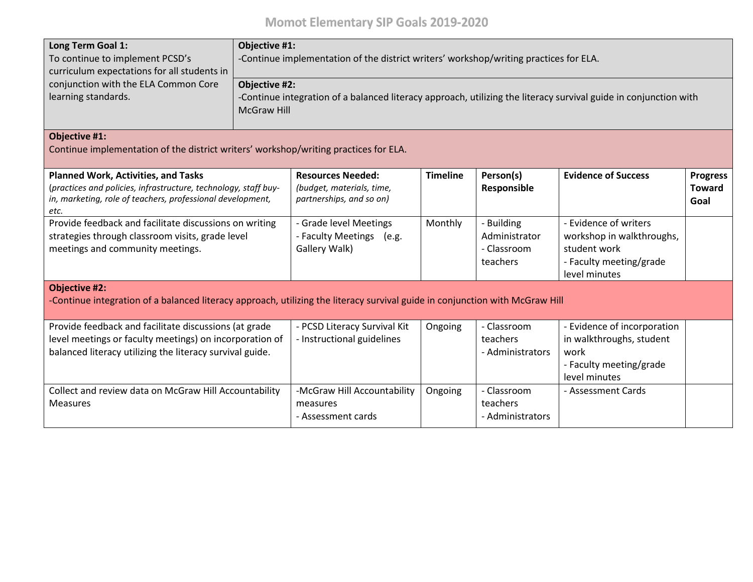| Long Term Goal 1:<br>To continue to implement PCSD's<br>curriculum expectations for all students in<br>conjunction with the ELA Common Core<br>learning standards.                  | Objective #1:<br>-Continue implementation of the district writers' workshop/writing practices for ELA.<br>Objective #2:<br>-Continue integration of a balanced literacy approach, utilizing the literacy survival guide in conjunction with<br><b>McGraw Hill</b> |                                                                                   |                 |                                                        |                                                                                                                |                                          |  |
|-------------------------------------------------------------------------------------------------------------------------------------------------------------------------------------|-------------------------------------------------------------------------------------------------------------------------------------------------------------------------------------------------------------------------------------------------------------------|-----------------------------------------------------------------------------------|-----------------|--------------------------------------------------------|----------------------------------------------------------------------------------------------------------------|------------------------------------------|--|
| Objective #1:<br>Continue implementation of the district writers' workshop/writing practices for ELA.                                                                               |                                                                                                                                                                                                                                                                   |                                                                                   |                 |                                                        |                                                                                                                |                                          |  |
| <b>Planned Work, Activities, and Tasks</b><br>(practices and policies, infrastructure, technology, staff buy-<br>in, marketing, role of teachers, professional development,<br>etc. |                                                                                                                                                                                                                                                                   | <b>Resources Needed:</b><br>(budget, materials, time,<br>partnerships, and so on) | <b>Timeline</b> | Person(s)<br>Responsible                               | <b>Evidence of Success</b>                                                                                     | <b>Progress</b><br><b>Toward</b><br>Goal |  |
| Provide feedback and facilitate discussions on writing<br>strategies through classroom visits, grade level<br>meetings and community meetings.                                      |                                                                                                                                                                                                                                                                   | - Grade level Meetings<br>- Faculty Meetings<br>(e.g.<br>Gallery Walk)            | Monthly         | - Building<br>Administrator<br>- Classroom<br>teachers | - Evidence of writers<br>workshop in walkthroughs,<br>student work<br>- Faculty meeting/grade<br>level minutes |                                          |  |
| <b>Objective #2:</b><br>-Continue integration of a balanced literacy approach, utilizing the literacy survival guide in conjunction with McGraw Hill                                |                                                                                                                                                                                                                                                                   |                                                                                   |                 |                                                        |                                                                                                                |                                          |  |
| Provide feedback and facilitate discussions (at grade<br>level meetings or faculty meetings) on incorporation of<br>balanced literacy utilizing the literacy survival guide.        |                                                                                                                                                                                                                                                                   | - PCSD Literacy Survival Kit<br>- Instructional guidelines                        | Ongoing         | - Classroom<br>teachers<br>- Administrators            | - Evidence of incorporation<br>in walkthroughs, student<br>work<br>- Faculty meeting/grade<br>level minutes    |                                          |  |
| Collect and review data on McGraw Hill Accountability<br><b>Measures</b>                                                                                                            |                                                                                                                                                                                                                                                                   | -McGraw Hill Accountability<br>measures<br>- Assessment cards                     | Ongoing         | - Classroom<br>teachers<br>- Administrators            | - Assessment Cards                                                                                             |                                          |  |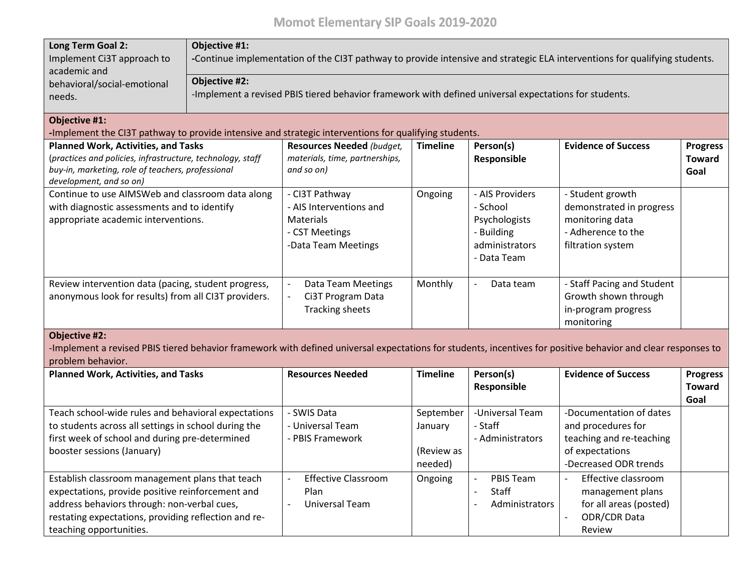## **Momot Elementary SIP Goals 2019-2020**

| <b>Long Term Goal 2:</b><br>Implement Ci3T approach to<br>academic and                                                                                                                                                                | Objective #1:<br>-Continue implementation of the CI3T pathway to provide intensive and strategic ELA interventions for qualifying students.<br>Objective #2: |                                                                                                 |                                               |                                                                                             |                                                                                                                       |                                          |
|---------------------------------------------------------------------------------------------------------------------------------------------------------------------------------------------------------------------------------------|--------------------------------------------------------------------------------------------------------------------------------------------------------------|-------------------------------------------------------------------------------------------------|-----------------------------------------------|---------------------------------------------------------------------------------------------|-----------------------------------------------------------------------------------------------------------------------|------------------------------------------|
| behavioral/social-emotional<br>needs.                                                                                                                                                                                                 | -Implement a revised PBIS tiered behavior framework with defined universal expectations for students.                                                        |                                                                                                 |                                               |                                                                                             |                                                                                                                       |                                          |
| <b>Objective #1:</b><br>-Implement the CI3T pathway to provide intensive and strategic interventions for qualifying students.                                                                                                         |                                                                                                                                                              |                                                                                                 |                                               |                                                                                             |                                                                                                                       |                                          |
| <b>Planned Work, Activities, and Tasks</b><br>(practices and policies, infrastructure, technology, staff<br>buy-in, marketing, role of teachers, professional<br>development, and so on)                                              |                                                                                                                                                              | <b>Resources Needed (budget,</b><br>materials, time, partnerships,<br>and so on)                | <b>Timeline</b>                               | Person(s)<br>Responsible                                                                    | <b>Evidence of Success</b>                                                                                            | <b>Progress</b><br><b>Toward</b><br>Goal |
| Continue to use AIMSWeb and classroom data along<br>with diagnostic assessments and to identify<br>appropriate academic interventions.                                                                                                |                                                                                                                                                              | - CI3T Pathway<br>- AIS Interventions and<br>Materials<br>- CST Meetings<br>-Data Team Meetings | Ongoing                                       | - AIS Providers<br>- School<br>Psychologists<br>- Building<br>administrators<br>- Data Team | - Student growth<br>demonstrated in progress<br>monitoring data<br>- Adherence to the<br>filtration system            |                                          |
| Review intervention data (pacing, student progress,<br>anonymous look for results) from all CI3T providers.                                                                                                                           |                                                                                                                                                              | Data Team Meetings<br>$\overline{\phantom{a}}$<br>Ci3T Program Data<br><b>Tracking sheets</b>   | Monthly                                       | Data team                                                                                   | - Staff Pacing and Student<br>Growth shown through<br>in-program progress<br>monitoring                               |                                          |
| <b>Objective #2:</b><br>-Implement a revised PBIS tiered behavior framework with defined universal expectations for students, incentives for positive behavior and clear responses to<br>problem behavior.                            |                                                                                                                                                              |                                                                                                 |                                               |                                                                                             |                                                                                                                       |                                          |
| <b>Planned Work, Activities, and Tasks</b>                                                                                                                                                                                            |                                                                                                                                                              | <b>Resources Needed</b>                                                                         | <b>Timeline</b>                               | Person(s)<br>Responsible                                                                    | <b>Evidence of Success</b>                                                                                            | <b>Progress</b><br><b>Toward</b><br>Goal |
| Teach school-wide rules and behavioral expectations<br>to students across all settings in school during the<br>first week of school and during pre-determined<br>booster sessions (January)                                           |                                                                                                                                                              | - SWIS Data<br>- Universal Team<br>- PBIS Framework                                             | September<br>January<br>(Review as<br>needed) | -Universal Team<br>- Staff<br>- Administrators                                              | -Documentation of dates<br>and procedures for<br>teaching and re-teaching<br>of expectations<br>-Decreased ODR trends |                                          |
| Establish classroom management plans that teach<br>expectations, provide positive reinforcement and<br>address behaviors through: non-verbal cues,<br>restating expectations, providing reflection and re-<br>teaching opportunities. |                                                                                                                                                              | <b>Effective Classroom</b><br>Plan<br>Universal Team                                            | Ongoing                                       | <b>PBIS Team</b><br>Staff<br>Administrators                                                 | Effective classroom<br>management plans<br>for all areas (posted)<br><b>ODR/CDR Data</b><br>Review                    |                                          |